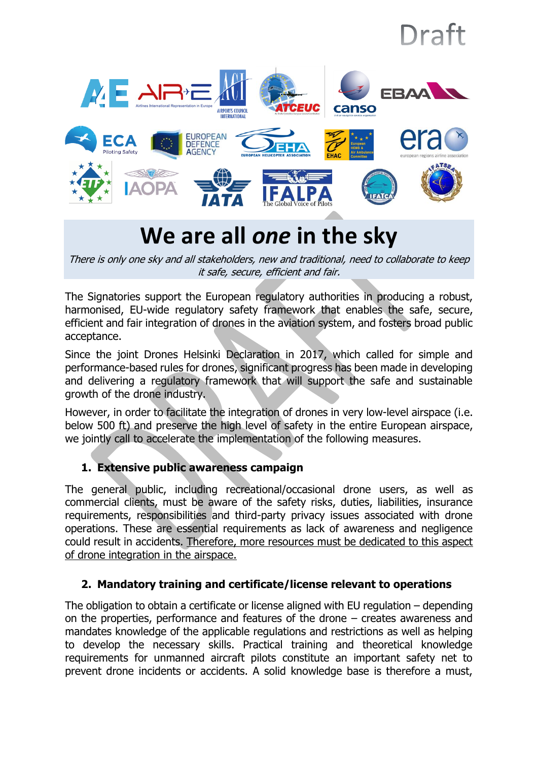

# **We are all** *one* **in the sky**

There is only one sky and all stakeholders, new and traditional, need to collaborate to keep it safe, secure, efficient and fair.

The Signatories support the European regulatory authorities in producing a robust, harmonised, EU-wide regulatory safety framework that enables the safe, secure, efficient and fair integration of drones in the aviation system, and fosters broad public acceptance.

Since the joint Drones Helsinki Declaration in 2017, which called for simple and performance-based rules for drones, significant progress has been made in developing and delivering a regulatory framework that will support the safe and sustainable growth of the drone industry.

However, in order to facilitate the integration of drones in very low-level airspace (i.e. below 500 ft) and preserve the high level of safety in the entire European airspace, we jointly call to accelerate the implementation of the following measures.

## **1. Extensive public awareness campaign**

The general public, including recreational/occasional drone users, as well as commercial clients, must be aware of the safety risks, duties, liabilities, insurance requirements, responsibilities and third-party privacy issues associated with drone operations. These are essential requirements as lack of awareness and negligence could result in accidents. Therefore, more resources must be dedicated to this aspect of drone integration in the airspace.

#### **2. Mandatory training and certificate/license relevant to operations**

The obligation to obtain a certificate or license aligned with EU regulation – depending on the properties, performance and features of the drone – creates awareness and mandates knowledge of the applicable regulations and restrictions as well as helping to develop the necessary skills. Practical training and theoretical knowledge requirements for unmanned aircraft pilots constitute an important safety net to prevent drone incidents or accidents. A solid knowledge base is therefore a must,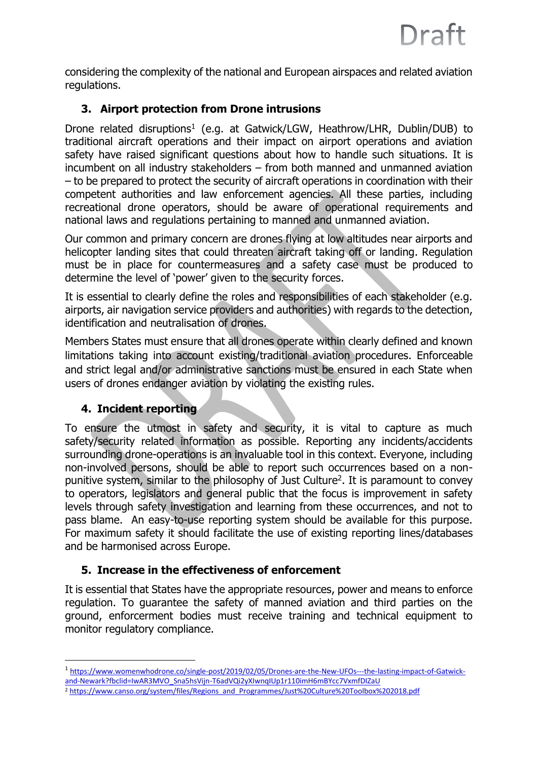considering the complexity of the national and European airspaces and related aviation regulations.

#### **3. Airport protection from Drone intrusions**

Drone related disruptions<sup>1</sup> (e.g. at Gatwick/LGW, Heathrow/LHR, Dublin/DUB) to traditional aircraft operations and their impact on airport operations and aviation safety have raised significant questions about how to handle such situations. It is incumbent on all industry stakeholders – from both manned and unmanned aviation – to be prepared to protect the security of aircraft operations in coordination with their competent authorities and law enforcement agencies. All these parties, including recreational drone operators, should be aware of operational requirements and national laws and regulations pertaining to manned and unmanned aviation.

Our common and primary concern are drones flying at low altitudes near airports and helicopter landing sites that could threaten aircraft taking off or landing. Regulation must be in place for countermeasures and a safety case must be produced to determine the level of 'power' given to the security forces.

It is essential to clearly define the roles and responsibilities of each stakeholder (e.g. airports, air navigation service providers and authorities) with regards to the detection, identification and neutralisation of drones.

Members States must ensure that all drones operate within clearly defined and known limitations taking into account existing/traditional aviation procedures. Enforceable and strict legal and/or administrative sanctions must be ensured in each State when users of drones endanger aviation by violating the existing rules.

#### **4. Incident reporting**

 $\overline{\phantom{a}}$ 

To ensure the utmost in safety and security, it is vital to capture as much safety/security related information as possible. Reporting any incidents/accidents surrounding drone-operations is an invaluable tool in this context. Everyone, including non-involved persons, should be able to report such occurrences based on a nonpunitive system, similar to the philosophy of Just Culture<sup>2</sup>. It is paramount to convey to operators, legislators and general public that the focus is improvement in safety levels through safety investigation and learning from these occurrences, and not to pass blame. An easy-to-use reporting system should be available for this purpose. For maximum safety it should facilitate the use of existing reporting lines/databases and be harmonised across Europe.

#### **5. Increase in the effectiveness of enforcement**

It is essential that States have the appropriate resources, power and means to enforce regulation. To guarantee the safety of manned aviation and third parties on the ground, enforcerment bodies must receive training and technical equipment to monitor regulatory compliance.

<sup>1</sup> [https://www.womenwhodrone.co/single-post/2019/02/05/Drones-are-the-New-UFOs---the-lasting-impact-of-Gatwick](https://www.womenwhodrone.co/single-post/2019/02/05/Drones-are-the-New-UFOs---the-lasting-impact-of-Gatwick-and-Newark?fbclid=IwAR3MVO_Sna5hsVijn-T6adVQi2yXIwnqIUp1r110imH6mBYcc7VxmfDIZaU)[and-Newark?fbclid=IwAR3MVO\\_Sna5hsVijn-T6adVQi2yXIwnqIUp1r110imH6mBYcc7VxmfDIZaU](https://www.womenwhodrone.co/single-post/2019/02/05/Drones-are-the-New-UFOs---the-lasting-impact-of-Gatwick-and-Newark?fbclid=IwAR3MVO_Sna5hsVijn-T6adVQi2yXIwnqIUp1r110imH6mBYcc7VxmfDIZaU)

<sup>2</sup> [https://www.canso.org/system/files/Regions\\_and\\_Programmes/Just%20Culture%20Toolbox%202018.pdf](https://www.canso.org/system/files/Regions_and_Programmes/Just%20Culture%20Toolbox%202018.pdf)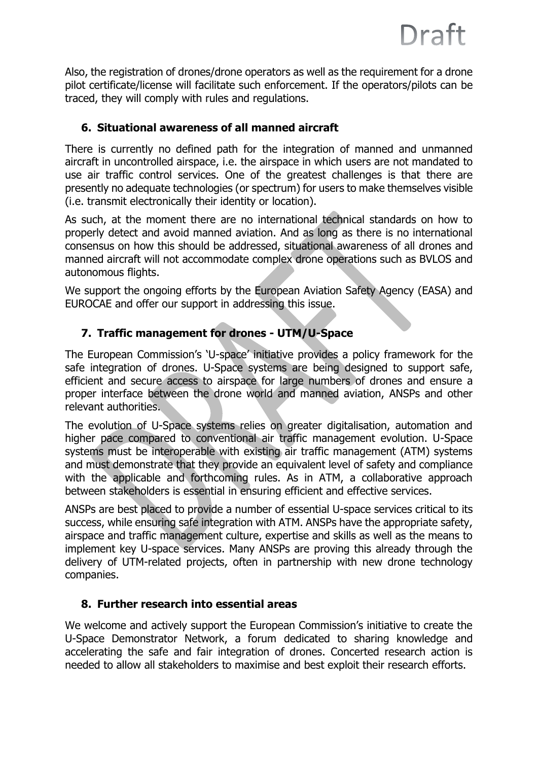Also, the registration of drones/drone operators as well as the requirement for a drone pilot certificate/license will facilitate such enforcement. If the operators/pilots can be traced, they will comply with rules and regulations.

#### **6. Situational awareness of all manned aircraft**

There is currently no defined path for the integration of manned and unmanned aircraft in uncontrolled airspace, i.e. the airspace in which users are not mandated to use air traffic control services. One of the greatest challenges is that there are presently no adequate technologies (or spectrum) for users to make themselves visible (i.e. transmit electronically their identity or location).

As such, at the moment there are no international technical standards on how to properly detect and avoid manned aviation. And as long as there is no international consensus on how this should be addressed, situational awareness of all drones and manned aircraft will not accommodate complex drone operations such as BVLOS and autonomous flights.

We support the ongoing efforts by the European Aviation Safety Agency (EASA) and EUROCAE and offer our support in addressing this issue.

### **7. Traffic management for drones - UTM/U-Space**

The European Commission's 'U-space' initiative provides a policy framework for the safe integration of drones. U-Space systems are being designed to support safe, efficient and secure access to airspace for large numbers of drones and ensure a proper interface between the drone world and manned aviation, ANSPs and other relevant authorities.

The evolution of U-Space systems relies on greater digitalisation, automation and higher pace compared to conventional air traffic management evolution. U-Space systems must be interoperable with existing air traffic management (ATM) systems and must demonstrate that they provide an equivalent level of safety and compliance with the applicable and forthcoming rules. As in ATM, a collaborative approach between stakeholders is essential in ensuring efficient and effective services.

ANSPs are best placed to provide a number of essential U-space services critical to its success, while ensuring safe integration with ATM. ANSPs have the appropriate safety, airspace and traffic management culture, expertise and skills as well as the means to implement key U-space services. Many ANSPs are proving this already through the delivery of UTM-related projects, often in partnership with new drone technology companies.

#### **8. Further research into essential areas**

We welcome and actively support the European Commission's initiative to create the U-Space Demonstrator Network, a forum dedicated to sharing knowledge and accelerating the safe and fair integration of drones. Concerted research action is needed to allow all stakeholders to maximise and best exploit their research efforts.